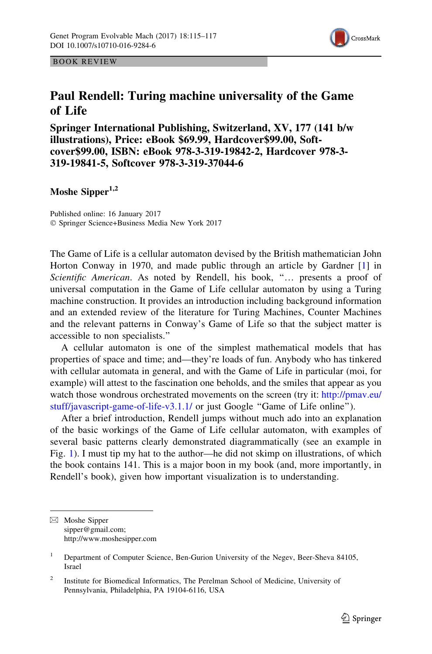

BOOK REVIEW

## Paul Rendell: Turing machine universality of the Game of Life

Springer International Publishing, Switzerland, XV, 177 (141 b/w illustrations), Price: eBook \$69.99, Hardcover\$99.00, Softcover\$99.00, ISBN: eBook 978-3-319-19842-2, Hardcover 978-3- 319-19841-5, Softcover 978-3-319-37044-6

## Moshe Sipper<sup>1,2</sup>

Published online: 16 January 2017 © Springer Science+Business Media New York 2017

The Game of Life is a cellular automaton devised by the British mathematician John Horton Conway in 1970, and made public through an article by Gardner [[1\]](#page-2-0) in Scientific American. As noted by Rendell, his book, "... presents a proof of universal computation in the Game of Life cellular automaton by using a Turing machine construction. It provides an introduction including background information and an extended review of the literature for Turing Machines, Counter Machines and the relevant patterns in Conway's Game of Life so that the subject matter is accessible to non specialists.''

A cellular automaton is one of the simplest mathematical models that has properties of space and time; and—they're loads of fun. Anybody who has tinkered with cellular automata in general, and with the Game of Life in particular (moi, for example) will attest to the fascination one beholds, and the smiles that appear as you watch those wondrous orchestrated movements on the screen (try it: [http://pmav.eu/](http://pmav.eu/stuff/javascript-game-of-life-v3.1.1/) [stuff/javascript-game-of-life-v3.1.1/](http://pmav.eu/stuff/javascript-game-of-life-v3.1.1/) or just Google ''Game of Life online'').

After a brief introduction, Rendell jumps without much ado into an explanation of the basic workings of the Game of Life cellular automaton, with examples of several basic patterns clearly demonstrated diagrammatically (see an example in Fig. [1](#page-1-0)). I must tip my hat to the author—he did not skimp on illustrations, of which the book contains 141. This is a major boon in my book (and, more importantly, in Rendell's book), given how important visualization is to understanding.

<sup>&</sup>amp; Moshe Sipper sipper@gmail.com; http://www.moshesipper.com

<sup>&</sup>lt;sup>1</sup> Department of Computer Science, Ben-Gurion University of the Negev, Beer-Sheva 84105, Israel

<sup>&</sup>lt;sup>2</sup> Institute for Biomedical Informatics, The Perelman School of Medicine, University of Pennsylvania, Philadelphia, PA 19104-6116, USA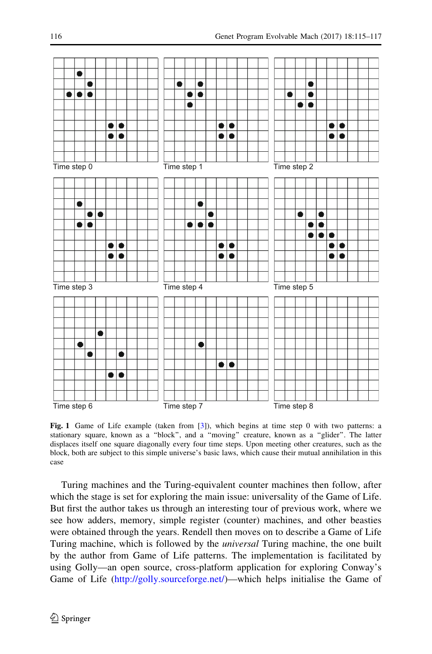<span id="page-1-0"></span>

Fig. 1 Game of Life example (taken from [[3\]](#page-2-0)), which begins at time step 0 with two patterns: a stationary square, known as a "block", and a "moving" creature, known as a "glider". The latter displaces itself one square diagonally every four time steps. Upon meeting other creatures, such as the block, both are subject to this simple universe's basic laws, which cause their mutual annihilation in this case

Turing machines and the Turing-equivalent counter machines then follow, after which the stage is set for exploring the main issue: universality of the Game of Life. But first the author takes us through an interesting tour of previous work, where we see how adders, memory, simple register (counter) machines, and other beasties were obtained through the years. Rendell then moves on to describe a Game of Life Turing machine, which is followed by the *universal* Turing machine, the one built by the author from Game of Life patterns. The implementation is facilitated by using Golly—an open source, cross-platform application for exploring Conway's Game of Life (<http://golly.sourceforge.net/>)—which helps initialise the Game of